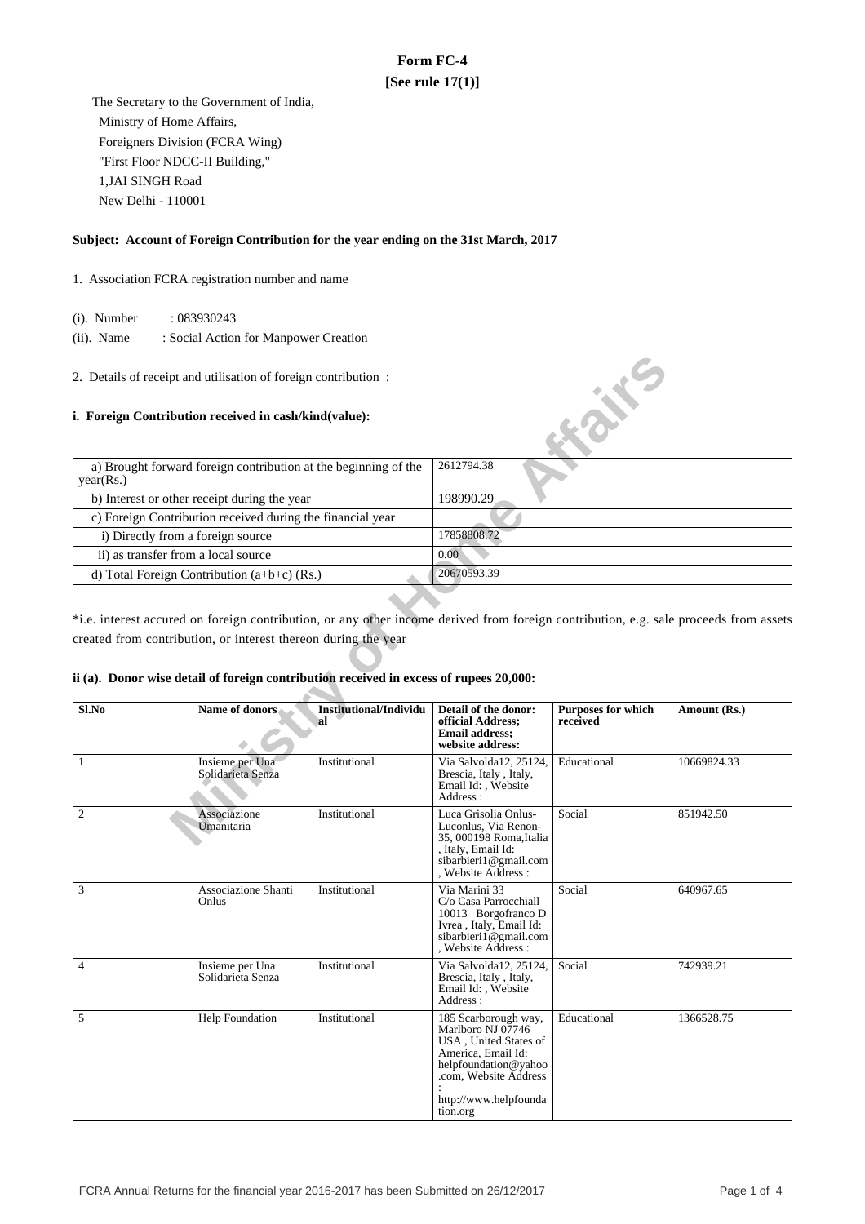# **Form FC-4 [See rule 17(1)]**

 The Secretary to the Government of India, Ministry of Home Affairs, Foreigners Division (FCRA Wing) "First Floor NDCC-II Building," 1,JAI SINGH Road New Delhi - 110001

# **Subject: Account of Foreign Contribution for the year ending on the 31st March, 2017**

- 1. Association FCRA registration number and name
	- (i). Number : 083930243
	- (ii). Name : Social Action for Manpower Creation
- 2. Details of receipt and utilisation of foreign contribution :

## **i. Foreign Contribution received in cash/kind(value):**

| a) Brought forward foreign contribution at the beginning of the<br>year(Rs.) | 2612794.38  |
|------------------------------------------------------------------------------|-------------|
| b) Interest or other receipt during the year                                 | 198990.29   |
| c) Foreign Contribution received during the financial year                   |             |
| i) Directly from a foreign source                                            | 17858808.72 |
| ii) as transfer from a local source                                          | 0.00        |
| d) Total Foreign Contribution $(a+b+c)$ (Rs.)                                | 20670593.39 |

# **ii (a). Donor wise detail of foreign contribution received in excess of rupees 20,000:**

|                                     | 2. Details of receipt and utilisation of foreign contribution :                        |                                     |                                                                                                                                                                                |                                       |                                                                                                                                       |  |
|-------------------------------------|----------------------------------------------------------------------------------------|-------------------------------------|--------------------------------------------------------------------------------------------------------------------------------------------------------------------------------|---------------------------------------|---------------------------------------------------------------------------------------------------------------------------------------|--|
|                                     | i. Foreign Contribution received in cash/kind(value):                                  |                                     |                                                                                                                                                                                | <b>Kaik</b> E                         |                                                                                                                                       |  |
| year(Rs.)                           | a) Brought forward foreign contribution at the beginning of the                        |                                     | 2612794.38                                                                                                                                                                     |                                       |                                                                                                                                       |  |
|                                     | b) Interest or other receipt during the year                                           |                                     | 198990.29                                                                                                                                                                      |                                       |                                                                                                                                       |  |
|                                     | c) Foreign Contribution received during the financial year                             |                                     |                                                                                                                                                                                |                                       |                                                                                                                                       |  |
| i) Directly from a foreign source   |                                                                                        |                                     | 17858808.72                                                                                                                                                                    |                                       |                                                                                                                                       |  |
| ii) as transfer from a local source |                                                                                        |                                     | 0.00                                                                                                                                                                           |                                       |                                                                                                                                       |  |
|                                     | d) Total Foreign Contribution $(a+b+c)$ (Rs.)                                          |                                     | 20670593.39                                                                                                                                                                    |                                       |                                                                                                                                       |  |
|                                     |                                                                                        |                                     |                                                                                                                                                                                |                                       |                                                                                                                                       |  |
|                                     |                                                                                        |                                     |                                                                                                                                                                                |                                       | *i.e. interest accured on foreign contribution, or any other income derived from foreign contribution, e.g. sale proceeds from assets |  |
|                                     | created from contribution, or interest thereon during the year                         |                                     |                                                                                                                                                                                |                                       |                                                                                                                                       |  |
|                                     |                                                                                        |                                     |                                                                                                                                                                                |                                       |                                                                                                                                       |  |
|                                     | ii (a). Donor wise detail of foreign contribution received in excess of rupees 20,000: |                                     |                                                                                                                                                                                |                                       |                                                                                                                                       |  |
| Sl.No                               | Name of donors                                                                         | <b>Institutional/Individu</b><br>al | Detail of the donor:<br>official Address;<br><b>Email address:</b><br>website address:                                                                                         | <b>Purposes for which</b><br>received | Amount (Rs.)                                                                                                                          |  |
| 1                                   | Insieme per Una<br>Solidarieta Senza                                                   | Institutional                       | Via Salvolda12, 25124,<br>Brescia, Italy, Italy,<br>Email Id: , Website<br>Address:                                                                                            | Educational                           | 10669824.33                                                                                                                           |  |
| $\overline{2}$                      | Associazione<br>Umanitaria                                                             | Institutional                       | Luca Grisolia Onlus-<br>Luconlus, Via Renon-<br>35, 000198 Roma, Italia<br>, Italy, Email Id:<br>sibarbieri1@gmail.com<br>, Website Address :                                  | Social                                | 851942.50                                                                                                                             |  |
| 3                                   | Associazione Shanti<br>Onlus                                                           | Institutional                       | Via Marini 33<br>C/o Casa Parrocchiall<br>10013 Borgofranco D<br>Ivrea, Italy, Email Id:<br>sibarbieri1@gmail.com<br>, Website Address :                                       | Social                                | 640967.65                                                                                                                             |  |
| $\overline{4}$                      | Insieme per Una<br>Solidarieta Senza                                                   | Institutional                       | Via Salvolda12, 25124,<br>Brescia, Italy, Italy,<br>Email Id:, Website<br>Address:                                                                                             | Social                                | 742939.21                                                                                                                             |  |
| 5                                   | <b>Help Foundation</b>                                                                 | Institutional                       | 185 Scarborough way,<br>Marlboro NJ 07746<br>USA, United States of<br>America, Email Id:<br>helpfoundation@yahoo<br>.com, Website Address<br>http://www.helpfounda<br>tion.org | Educational                           | 1366528.75                                                                                                                            |  |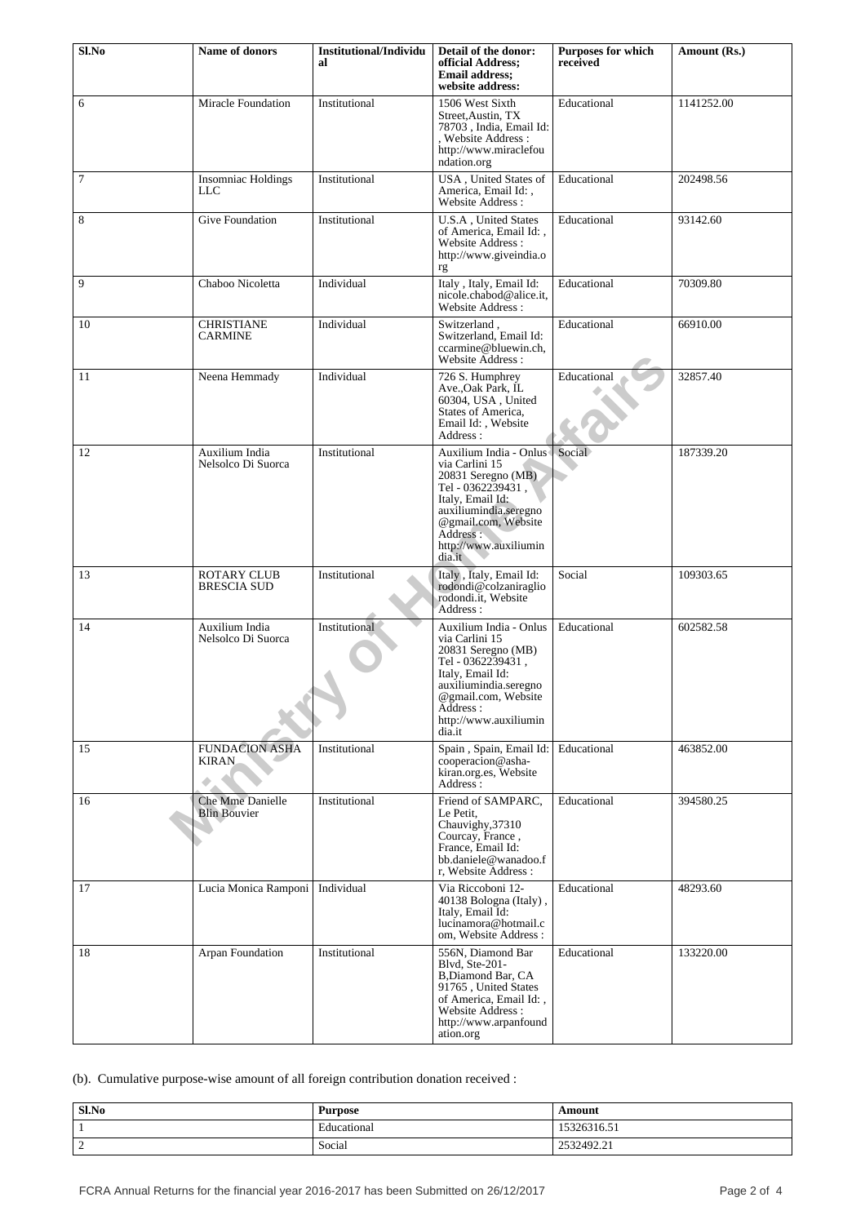| $\overline{\textbf{S}}$ l.No | Name of donors                                 | Institutional/Individu<br>al | Detail of the donor:<br>official Address;<br><b>Email address;</b><br>website address:                                                                                                                  | <b>Purposes for which</b><br>received | Amount (Rs.) |
|------------------------------|------------------------------------------------|------------------------------|---------------------------------------------------------------------------------------------------------------------------------------------------------------------------------------------------------|---------------------------------------|--------------|
| 6                            | Miracle Foundation                             | Institutional                | 1506 West Sixth<br>Street.Austin. TX<br>78703, India, Email Id:<br>, Website Address:<br>http://www.miraclefou<br>ndation.org                                                                           | Educational                           | 1141252.00   |
| $\tau$                       | <b>Insomniac Holdings</b><br>LLC               | Institutional                | USA, United States of<br>America, Email Id:,<br>Website Address:                                                                                                                                        | Educational                           | 202498.56    |
| 8                            | Give Foundation                                | Institutional                | U.S.A, United States<br>of America, Email Id:,<br>Website Address:<br>http://www.giveindia.o<br>rg                                                                                                      | Educational                           | 93142.60     |
| 9                            | Chaboo Nicoletta                               | Individual                   | Italy, Italy, Email Id:<br>nicole.chabod@alice.it,<br>Website Address:                                                                                                                                  | Educational                           | 70309.80     |
| 10                           | <b>CHRISTIANE</b><br><b>CARMINE</b>            | Individual                   | Switzerland,<br>Switzerland, Email Id:<br>ccarmine@bluewin.ch,<br>Website Address:                                                                                                                      | Educational                           | 66910.00     |
| 11                           | Neena Hemmady                                  | Individual                   | 726 S. Humphrey<br>Ave., Oak Park, IL<br>60304, USA, United<br>States of America,<br>Email Id: , Website<br>Address :                                                                                   | Educational                           | 32857.40     |
| 12                           | Auxilium India<br>Nelsolco Di Suorca           | Institutional                | Auxilium India - Onlus<br>via Carlini 15<br>20831 Seregno (MB)<br>Tel - 0362239431,<br>Italy, Email Id:<br>auxiliumindia.seregno<br>@gmail.com, Website<br>Address:<br>http://www.auxiliumin<br>dia.it  | Social                                | 187339.20    |
| 13                           | <b>ROTARY CLUB</b><br><b>BRESCIA SUD</b>       | Institutional                | Italy, Italy, Email Id:<br>rodondi@colzaniraglio<br>rodondi.it, Website<br>Address:                                                                                                                     | Social                                | 109303.65    |
| 14                           | Auxilium India<br>Nelsolco Di Suorca           | <b>Institutional</b>         | Auxilium India - Onlus<br>via Carlini 15<br>20831 Seregno (MB)<br>Tel - 0362239431,<br>Italy, Email Id:<br>auxiliumindia.seregno<br>@gmail.com, Website<br>Address :<br>http://www.auxiliumin<br>dia.it | Educational                           | 602582.58    |
| 15                           | <b>FUNDACION ASHA</b><br><b>KIRAN</b>          | Institutional                | Spain, Spain, Email Id:<br>cooperacion@asha-<br>kiran.org.es, Website<br>Address:                                                                                                                       | Educational                           | 463852.00    |
| 16                           | <b>Che Mme Danielle</b><br><b>Blin Bouvier</b> | Institutional                | Friend of SAMPARC,<br>Le Petit,<br>Chauvighy, 37310<br>Courcay, France,<br>France, Email Id:<br>bb.daniele@wanadoo.f<br>r. Website Address:                                                             | Educational                           | 394580.25    |
| 17                           | Lucia Monica Ramponi                           | Individual                   | Via Riccoboni 12-<br>40138 Bologna (Italy),<br>Italy, Email Id:<br>lucinamora@hotmail.c<br>om, Website Address:                                                                                         | Educational                           | 48293.60     |
| 18                           | Arpan Foundation                               | Institutional                | 556N, Diamond Bar<br>Blvd, Ste-201-<br>B, Diamond Bar, CA<br>91765, United States<br>of America, Email Id:,<br>Website Address:<br>http://www.arpanfound<br>ation.org                                   | Educational                           | 133220.00    |

(b). Cumulative purpose-wise amount of all foreign contribution donation received :

| Sl.No          | <b>Purpose</b> | Amount      |
|----------------|----------------|-------------|
|                | Educational    | 15326316.51 |
| $\bigcap$<br>∼ | Social         | 2532492.21  |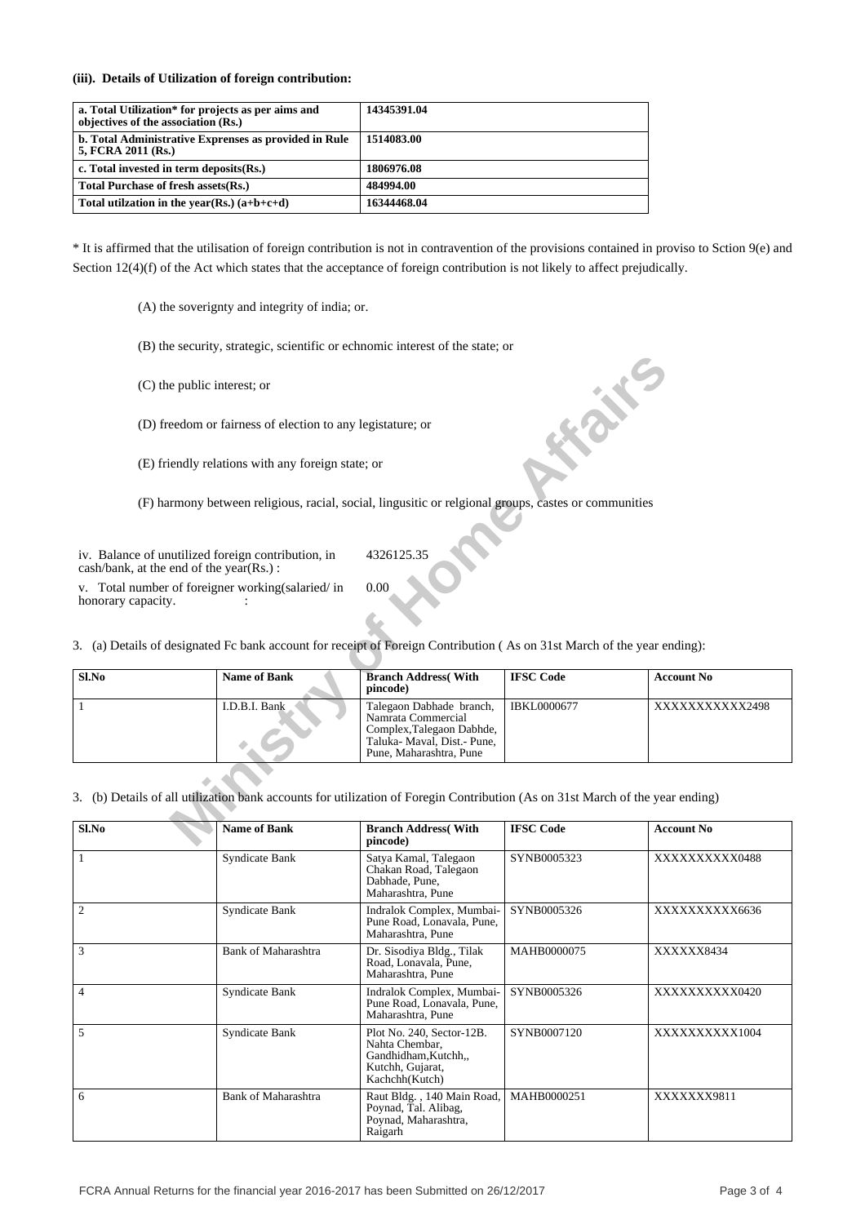#### **(iii). Details of Utilization of foreign contribution:**

| a. Total Utilization* for projects as per aims and<br>objectives of the association (Rs.) | 14345391.04 |
|-------------------------------------------------------------------------------------------|-------------|
| b. Total Administrative Exprenses as provided in Rule<br>5, FCRA 2011 (Rs.)               | 1514083.00  |
| c. Total invested in term deposits (Rs.)                                                  | 1806976.08  |
| Total Purchase of fresh assets (Rs.)                                                      | 484994.00   |
| Total utilization in the year(Rs.) $(a+b+c+d)$                                            | 16344468.04 |

\* It is affirmed that the utilisation of foreign contribution is not in contravention of the provisions contained in proviso to Sction 9(e) and Section 12(4)(f) of the Act which states that the acceptance of foreign contribution is not likely to affect prejudically.

(A) the soverignty and integrity of india; or.

(B) the security, strategic, scientific or echnomic interest of the state; or

| (C) the public interest; or                                                                                                   |                                                                                                                         |                                                                                                                                       |                    |                   |
|-------------------------------------------------------------------------------------------------------------------------------|-------------------------------------------------------------------------------------------------------------------------|---------------------------------------------------------------------------------------------------------------------------------------|--------------------|-------------------|
|                                                                                                                               | (D) freedom or fairness of election to any legistature; or                                                              |                                                                                                                                       |                    |                   |
|                                                                                                                               | (E) friendly relations with any foreign state; or                                                                       |                                                                                                                                       |                    |                   |
|                                                                                                                               | (F) harmony between religious, racial, social, lingusitic or relgional groups, castes or communities                    |                                                                                                                                       |                    |                   |
| iv. Balance of unutilized foreign contribution, in<br>cash/bank, at the end of the year(Rs.):                                 |                                                                                                                         | 4326125.35                                                                                                                            |                    |                   |
| v. Total number of foreigner working (salaried/in<br>honorary capacity.                                                       |                                                                                                                         | 0.00                                                                                                                                  |                    |                   |
|                                                                                                                               | 3. (a) Details of designated Fc bank account for receipt of Foreign Contribution (As on 31st March of the year ending): |                                                                                                                                       |                    |                   |
| Sl.No                                                                                                                         | <b>Name of Bank</b>                                                                                                     | <b>Branch Address</b> (With<br>pincode)                                                                                               | <b>IFSC Code</b>   | <b>Account No</b> |
| 1                                                                                                                             | I.D.B.I. Bank                                                                                                           | Talegaon Dabhade branch,<br>Namrata Commercial<br>Complex, Talegaon Dabhde,<br>Taluka- Maval, Dist.- Pune,<br>Pune, Maharashtra, Pune | <b>IBKL0000677</b> | XXXXXXXXXXX2498   |
| 3. (b) Details of all utilization bank accounts for utilization of Foregin Contribution (As on 31st March of the year ending) |                                                                                                                         |                                                                                                                                       |                    |                   |
| Sl.No                                                                                                                         | <b>Name of Bank</b>                                                                                                     | <b>Branch Address</b> (With<br>pincode)                                                                                               | <b>IFSC Code</b>   | <b>Account No</b> |

| S1.No          | <b>Name of Bank</b> | <b>Branch Address</b> (With<br>pincode)                                                                   | <b>IFSC Code</b> | <b>Account No</b> |
|----------------|---------------------|-----------------------------------------------------------------------------------------------------------|------------------|-------------------|
|                | Syndicate Bank      | Satya Kamal, Talegaon<br>Chakan Road, Talegaon<br>Dabhade, Pune,<br>Maharashtra, Pune                     | SYNB0005323      | XXXXXXXXXX0488    |
| $\overline{2}$ | Syndicate Bank      | Indralok Complex, Mumbai-<br>Pune Road, Lonavala, Pune,<br>Maharashtra, Pune                              | SYNB0005326      | XXXXXXXXXX6636    |
| 3              | Bank of Maharashtra | Dr. Sisodiya Bldg., Tilak<br>Road, Lonavala, Pune,<br>Maharashtra, Pune                                   | MAHB0000075      | XXXXXX8434        |
| $\overline{4}$ | Syndicate Bank      | Indralok Complex, Mumbai-<br>Pune Road, Lonavala, Pune,<br>Maharashtra, Pune                              | SYNB0005326      | XXXXXXXXXX0420    |
| 5              | Syndicate Bank      | Plot No. 240, Sector-12B.<br>Nahta Chembar,<br>Gandhidham, Kutchh,<br>Kutchh, Gujarat,<br>Kachchh (Kutch) | SYNB0007120      | XXXXXXXXXX1004    |
| 6              | Bank of Maharashtra | Raut Bldg., 140 Main Road,<br>Poynad, Tal. Alibag,<br>Poynad, Maharashtra,<br>Raigarh                     | MAHB0000251      | XXXXXXX9811       |